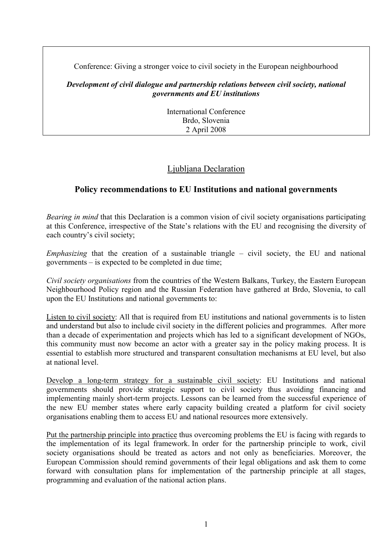Conference: Giving a stronger voice to civil society in the European neighbourhood

## *Development of civil dialogue and partnership relations between civil society, national governments and EU institutions*

International Conference Brdo, Slovenia 2 April 2008

# Ljubljana Declaration

## **Policy recommendations to EU Institutions and national governments**

*Bearing in mind* that this Declaration is a common vision of civil society organisations participating at this Conference, irrespective of the State's relations with the EU and recognising the diversity of each country's civil society;

*Emphasizing* that the creation of a sustainable triangle – civil society, the EU and national governments – is expected to be completed in due time;

*Civil society organisations* from the countries of the Western Balkans, Turkey, the Eastern European Neighbourhood Policy region and the Russian Federation have gathered at Brdo, Slovenia, to call upon the EU Institutions and national governments to:

Listen to civil society: All that is required from EU institutions and national governments is to listen and understand but also to include civil society in the different policies and programmes. After more than a decade of experimentation and projects which has led to a significant development of NGOs, this community must now become an actor with a greater say in the policy making process. It is essential to establish more structured and transparent consultation mechanisms at EU level, but also at national level.

Develop a long-term strategy for a sustainable civil society: EU Institutions and national governments should provide strategic support to civil society thus avoiding financing and implementing mainly short-term projects. Lessons can be learned from the successful experience of the new EU member states where early capacity building created a platform for civil society organisations enabling them to access EU and national resources more extensively.

Put the partnership principle into practice thus overcoming problems the EU is facing with regards to the implementation of its legal framework. In order for the partnership principle to work, civil society organisations should be treated as actors and not only as beneficiaries. Moreover, the European Commission should remind governments of their legal obligations and ask them to come forward with consultation plans for implementation of the partnership principle at all stages, programming and evaluation of the national action plans.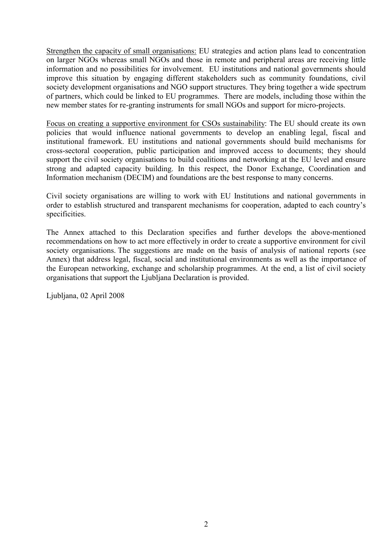Strengthen the capacity of small organisations: EU strategies and action plans lead to concentration on larger NGOs whereas small NGOs and those in remote and peripheral areas are receiving little information and no possibilities for involvement. EU institutions and national governments should improve this situation by engaging different stakeholders such as community foundations, civil society development organisations and NGO support structures. They bring together a wide spectrum of partners, which could be linked to EU programmes. There are models, including those within the new member states for re-granting instruments for small NGOs and support for micro-projects.

Focus on creating a supportive environment for CSOs sustainability: The EU should create its own policies that would influence national governments to develop an enabling legal, fiscal and institutional framework. EU institutions and national governments should build mechanisms for cross-sectoral cooperation, public participation and improved access to documents; they should support the civil society organisations to build coalitions and networking at the EU level and ensure strong and adapted capacity building. In this respect, the Donor Exchange, Coordination and Information mechanism (DECIM) and foundations are the best response to many concerns.

Civil society organisations are willing to work with EU Institutions and national governments in order to establish structured and transparent mechanisms for cooperation, adapted to each country's specificities.

The Annex attached to this Declaration specifies and further develops the above-mentioned recommendations on how to act more effectively in order to create a supportive environment for civil society organisations. The suggestions are made on the basis of analysis of national reports (see Annex) that address legal, fiscal, social and institutional environments as well as the importance of the European networking, exchange and scholarship programmes. At the end, a list of civil society organisations that support the Ljubljana Declaration is provided.

Ljubljana, 02 April 2008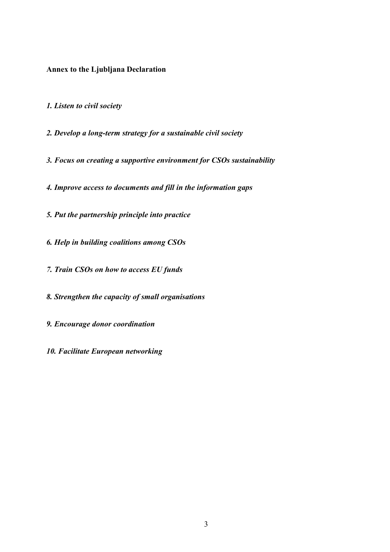**Annex to the Ljubljana Declaration** 

*1. Listen to civil society* 

*2. Develop a long-term strategy for a sustainable civil society* 

*3. Focus on creating a supportive environment for CSOs sustainability* 

*4. Improve access to documents and fill in the information gaps*

*5. Put the partnership principle into practice*

*6. Help in building coalitions among CSOs*

*7. Train CSOs on how to access EU funds*

*8. Strengthen the capacity of small organisations*

*9. Encourage donor coordination*

*10. Facilitate European networking*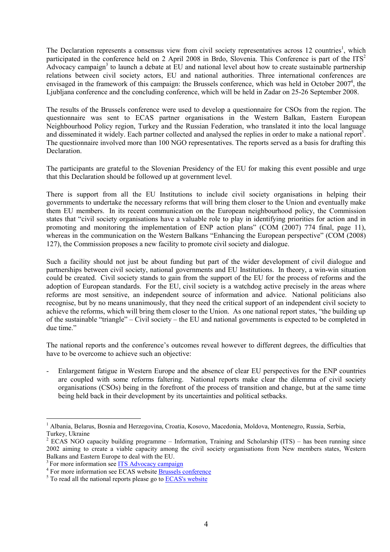The Declaration represents a consensus view from civil society representatives across 12 countries<sup>1</sup>, which participated in the conference held on 2 April 2008 in Brdo, Slovenia. This Conference is part of the  $ITS<sup>2</sup>$ Advocacy campaign<sup>3</sup> to launch a debate at  $\overline{E}U$  and national level about how to create sustainable partnership relations between civil society actors, EU and national authorities. Three international conferences are envisaged in the framework of this campaign: the Brussels conference, which was held in October  $2007^4$ , the Ljubljana conference and the concluding conference, which will be held in Zadar on 25-26 September 2008.

The results of the Brussels conference were used to develop a questionnaire for CSOs from the region. The questionnaire was sent to ECAS partner organisations in the Western Balkan, Eastern European Neighbourhood Policy region, Turkey and the Russian Federation, who translated it into the local language and disseminated it widely. Each partner collected and analysed the replies in order to make a national report<sup>5</sup>. The questionnaire involved more than 100 NGO representatives. The reports served as a basis for drafting this Declaration.

The participants are grateful to the Slovenian Presidency of the EU for making this event possible and urge that this Declaration should be followed up at government level.

There is support from all the EU Institutions to include civil society organisations in helping their governments to undertake the necessary reforms that will bring them closer to the Union and eventually make them EU members. In its recent communication on the European neighbourhood policy, the Commission states that "civil society organisations have a valuable role to play in identifying priorities for action and in promoting and monitoring the implementation of ENP action plans" (COM (2007) 774 final, page 11), whereas in the communication on the Western Balkans "Enhancing the European perspective" (COM (2008) 127), the Commission proposes a new facility to promote civil society and dialogue.

Such a facility should not just be about funding but part of the wider development of civil dialogue and partnerships between civil society, national governments and EU Institutions. In theory, a win-win situation could be created. Civil society stands to gain from the support of the EU for the process of reforms and the adoption of European standards. For the EU, civil society is a watchdog active precisely in the areas where reforms are most sensitive, an independent source of information and advice. National politicians also recognise, but by no means unanimously, that they need the critical support of an independent civil society to achieve the reforms, which will bring them closer to the Union. As one national report states, "the building up of the sustainable "triangle" – Civil society – the EU and national governments is expected to be completed in due time."

The national reports and the conference's outcomes reveal however to different degrees, the difficulties that have to be overcome to achieve such an objective:

- Enlargement fatigue in Western Europe and the absence of clear EU perspectives for the ENP countries are coupled with some reforms faltering. National reports make clear the dilemma of civil society organisations (CSOs) being in the forefront of the process of transition and change, but at the same time being held back in their development by its uncertainties and political setbacks.

 $\overline{a}$ 

<sup>&</sup>lt;sup>1</sup> Albania, Belarus, Bosnia and Herzegovina, Croatia, Kosovo, Macedonia, Moldova, Montenegro, Russia, Serbia, Turkey, Ukraine

<sup>&</sup>lt;sup>2</sup> ECAS NGO capacity building programme – Information, Training and Scholarship (ITS) – has been running since 2002 aiming to create a viable capacity among the civil society organisations from New members states, Western Balkans and Eastern Europe to deal with the EU.

<sup>&</sup>lt;sup>3</sup> For more information see ITS Advocacy campaign

For more information see ECAS website Brussels conference

 $5$  To read all the national reports please go to  $\overline{ECAS}$ 's website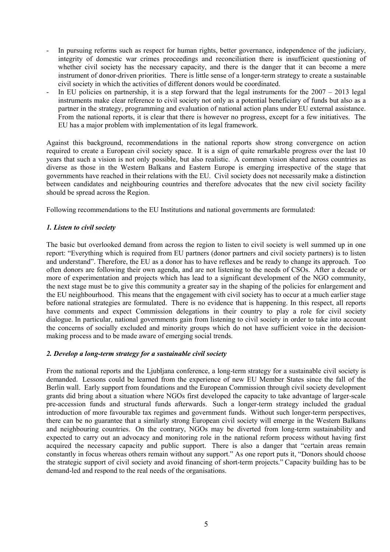- In pursuing reforms such as respect for human rights, better governance, independence of the judiciary, integrity of domestic war crimes proceedings and reconciliation there is insufficient questioning of whether civil society has the necessary capacity, and there is the danger that it can become a mere instrument of donor-driven priorities. There is little sense of a longer-term strategy to create a sustainable civil society in which the activities of different donors would be coordinated.
- In EU policies on partnership, it is a step forward that the legal instruments for the  $2007 2013$  legal instruments make clear reference to civil society not only as a potential beneficiary of funds but also as a partner in the strategy, programming and evaluation of national action plans under EU external assistance. From the national reports, it is clear that there is however no progress, except for a few initiatives. The EU has a major problem with implementation of its legal framework.

Against this background, recommendations in the national reports show strong convergence on action required to create a European civil society space. It is a sign of quite remarkable progress over the last 10 years that such a vision is not only possible, but also realistic. A common vision shared across countries as diverse as those in the Western Balkans and Eastern Europe is emerging irrespective of the stage that governments have reached in their relations with the EU. Civil society does not necessarily make a distinction between candidates and neighbouring countries and therefore advocates that the new civil society facility should be spread across the Region.

Following recommendations to the EU Institutions and national governments are formulated:

## *1. Listen to civil society*

The basic but overlooked demand from across the region to listen to civil society is well summed up in one report: "Everything which is required from EU partners (donor partners and civil society partners) is to listen and understand". Therefore, the EU as a donor has to have reflexes and be ready to change its approach. Too often donors are following their own agenda, and are not listening to the needs of CSOs. After a decade or more of experimentation and projects which has lead to a significant development of the NGO community, the next stage must be to give this community a greater say in the shaping of the policies for enlargement and the EU neighbourhood. This means that the engagement with civil society has to occur at a much earlier stage before national strategies are formulated. There is no evidence that is happening. In this respect, all reports have comments and expect Commission delegations in their country to play a role for civil society dialogue. In particular, national governments gain from listening to civil society in order to take into account the concerns of socially excluded and minority groups which do not have sufficient voice in the decisionmaking process and to be made aware of emerging social trends.

#### *2. Develop a long-term strategy for a sustainable civil society*

From the national reports and the Ljubljana conference, a long-term strategy for a sustainable civil society is demanded. Lessons could be learned from the experience of new EU Member States since the fall of the Berlin wall. Early support from foundations and the European Commission through civil society development grants did bring about a situation where NGOs first developed the capacity to take advantage of larger-scale pre-accession funds and structural funds afterwards. Such a longer-term strategy included the gradual introduction of more favourable tax regimes and government funds. Without such longer-term perspectives, there can be no guarantee that a similarly strong European civil society will emerge in the Western Balkans and neighbouring countries. On the contrary, NGOs may be diverted from long-term sustainability and expected to carry out an advocacy and monitoring role in the national reform process without having first acquired the necessary capacity and public support. There is also a danger that "certain areas remain constantly in focus whereas others remain without any support." As one report puts it, "Donors should choose the strategic support of civil society and avoid financing of short-term projects." Capacity building has to be demand-led and respond to the real needs of the organisations.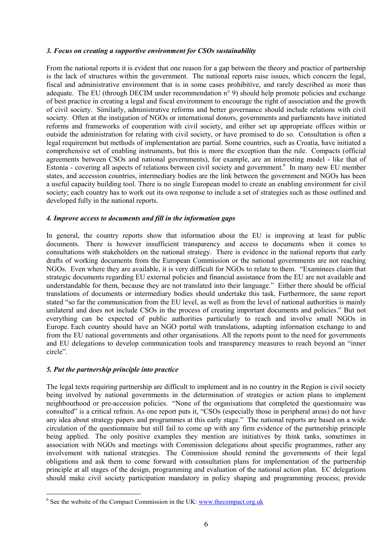### *3. Focus on creating a supportive environment for CSOs sustainability*

From the national reports it is evident that one reason for a gap between the theory and practice of partnership is the lack of structures within the government. The national reports raise issues, which concern the legal, fiscal and administrative environment that is in some cases prohibitive, and rarely described as more than adequate. The EU (through DECIM under recommendation n° 9) should help promote policies and exchange of best practice in creating a legal and fiscal environment to encourage the right of association and the growth of civil society. Similarly, administrative reforms and better governance should include relations with civil society. Often at the instigation of NGOs or international donors, governments and parliaments have initiated reforms and frameworks of cooperation with civil society, and either set up appropriate offices within or outside the administration for relating with civil society, or have promised to do so. Consultation is often a legal requirement but methods of implementation are partial. Some countries, such as Croatia, have initiated a comprehensive set of enabling instruments, but this is more the exception than the rule. Compacts (official agreements between CSOs and national governments), for example, are an interesting model - like that of Estonia - covering all aspects of relations between civil society and government.<sup>6</sup> In many new EU member states, and accession countries, intermediary bodies are the link between the government and NGOs has been a useful capacity building tool. There is no single European model to create an enabling environment for civil society; each country has to work out its own response to include a set of strategies such as those outlined and developed fully in the national reports.

### *4. Improve access to documents and fill in the information gaps*

In general, the country reports show that information about the EU is improving at least for public documents. There is however insufficient transparency and access to documents when it comes to consultations with stakeholders on the national strategy. There is evidence in the national reports that early drafts of working documents from the European Commission or the national governments are not reaching NGOs. Even where they are available, it is very difficult for NGOs to relate to them. "Examinees claim that strategic documents regarding EU external policies and financial assistance from the EU are not available and understandable for them, because they are not translated into their language." Either there should be official translations of documents or intermediary bodies should undertake this task. Furthermore, the same report stated "so far the communication from the EU level, as well as from the level of national authorities is mainly unilateral and does not include CSOs in the process of creating important documents and policies." But not everything can be expected of public authorities particularly to reach and involve small NGOs in Europe. Each country should have an NGO portal with translations, adapting information exchange to and from the EU national governments and other organisations. All the reports point to the need for governments and EU delegations to develop communication tools and transparency measures to reach beyond an "inner circle".

## *5. Put the partnership principle into practice*

 $\overline{a}$ 

The legal texts requiring partnership are difficult to implement and in no country in the Region is civil society being involved by national governments in the determination of strategies or action plans to implement neighbourhood or pre-accession policies. "None of the organisations that completed the questionnaire was consulted" is a critical refrain. As one report puts it, "CSOs (especially those in peripheral areas) do not have any idea about strategy papers and programmes at this early stage." The national reports are based on a wide circulation of the questionnaire but still fail to come up with any firm evidence of the partnership principle being applied. The only positive examples they mention are initiatives by think tanks, sometimes in association with NGOs and meetings with Commission delegations about specific programmes, rather any involvement with national strategies. The Commission should remind the governments of their legal obligations and ask them to come forward with consultation plans for implementation of the partnership principle at all stages of the design, programming and evaluation of the national action plan. EC delegations should make civil society participation mandatory in policy shaping and programming process; provide

 $6$  See the website of the Compact Commission in the UK: www.thecompact.org.uk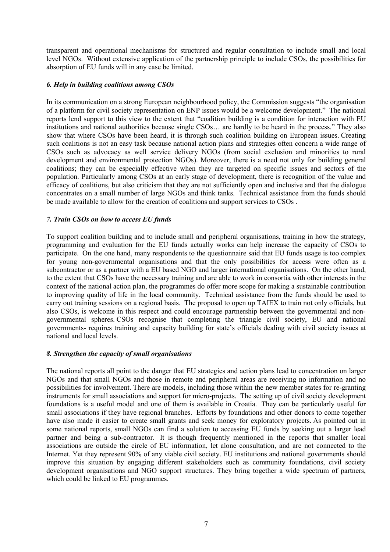transparent and operational mechanisms for structured and regular consultation to include small and local level NGOs. Without extensive application of the partnership principle to include CSOs, the possibilities for absorption of EU funds will in any case be limited.

### *6. Help in building coalitions among CSOs*

In its communication on a strong European neighbourhood policy, the Commission suggests "the organisation of a platform for civil society representation on ENP issues would be a welcome development." The national reports lend support to this view to the extent that "coalition building is a condition for interaction with EU institutions and national authorities because single CSOs… are hardly to be heard in the process." They also show that where CSOs have been heard, it is through such coalition building on European issues. Creating such coalitions is not an easy task because national action plans and strategies often concern a wide range of CSOs such as advocacy as well service delivery NGOs (from social exclusion and minorities to rural development and environmental protection NGOs). Moreover, there is a need not only for building general coalitions; they can be especially effective when they are targeted on specific issues and sectors of the population. Particularly among CSOs at an early stage of development, there is recognition of the value and efficacy of coalitions, but also criticism that they are not sufficiently open and inclusive and that the dialogue concentrates on a small number of large NGOs and think tanks. Technical assistance from the funds should be made available to allow for the creation of coalitions and support services to CSOs .

## *7. Train CSOs on how to access EU funds*

To support coalition building and to include small and peripheral organisations, training in how the strategy, programming and evaluation for the EU funds actually works can help increase the capacity of CSOs to participate. On the one hand, many respondents to the questionnaire said that EU funds usage is too complex for young non-governmental organisations and that the only possibilities for access were often as a subcontractor or as a partner with a EU based NGO and larger international organisations. On the other hand, to the extent that CSOs have the necessary training and are able to work in consortia with other interests in the context of the national action plan, the programmes do offer more scope for making a sustainable contribution to improving quality of life in the local community. Technical assistance from the funds should be used to carry out training sessions on a regional basis. The proposal to open up TAIEX to train not only officials, but also CSOs, is welcome in this respect and could encourage partnership between the governmental and nongovernmental spheres. CSOs recognise that completing the triangle civil society, EU and national governments- requires training and capacity building for state's officials dealing with civil society issues at national and local levels.

#### *8. Strengthen the capacity of small organisations*

The national reports all point to the danger that EU strategies and action plans lead to concentration on larger NGOs and that small NGOs and those in remote and peripheral areas are receiving no information and no possibilities for involvement. There are models, including those within the new member states for re-granting instruments for small associations and support for micro-projects. The setting up of civil society development foundations is a useful model and one of them is available in Croatia. They can be particularly useful for small associations if they have regional branches. Efforts by foundations and other donors to come together have also made it easier to create small grants and seek money for exploratory projects. As pointed out in some national reports, small NGOs can find a solution to accessing EU funds by seeking out a larger lead partner and being a sub-contractor. It is though frequently mentioned in the reports that smaller local associations are outside the circle of EU information, let alone consultation, and are not connected to the Internet. Yet they represent 90% of any viable civil society. EU institutions and national governments should improve this situation by engaging different stakeholders such as community foundations, civil society development organisations and NGO support structures. They bring together a wide spectrum of partners, which could be linked to EU programmes.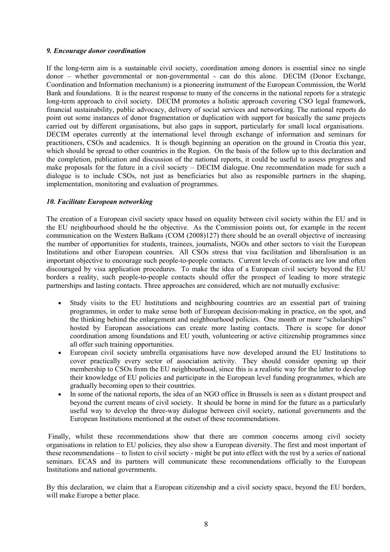### *9. Encourage donor coordination*

If the long-term aim is a sustainable civil society, coordination among donors is essential since no single donor – whether governmental or non-governmental - can do this alone. DECIM (Donor Exchange, Coordination and Information mechanism) is a pioneering instrument of the European Commission, the World Bank and foundations. It is the nearest response to many of the concerns in the national reports for a strategic long-term approach to civil society. DECIM promotes a holistic approach covering CSO legal framework, financial sustainability, public advocacy, delivery of social services and networking. The national reports do point out some instances of donor fragmentation or duplication with support for basically the same projects carried out by different organisations, but also gaps in support, particularly for small local organisations. DECIM operates currently at the international level through exchange of information and seminars for practitioners, CSOs and academics. It is though beginning an operation on the ground in Croatia this year, which should be spread to other countries in the Region. On the basis of the follow up to this declaration and the completion, publication and discussion of the national reports, it could be useful to assess progress and make proposals for the future in a civil society – DECIM dialogue. One recommendation made for such a dialogue is to include CSOs, not just as beneficiaries but also as responsible partners in the shaping, implementation, monitoring and evaluation of programmes.

## *10. Facilitate European networking*

The creation of a European civil society space based on equality between civil society within the EU and in the EU neighbourhood should be the objective. As the Commission points out, for example in the recent communication on the Western Balkans (COM (2008)127) there should be an overall objective of increasing the number of opportunities for students, trainees, journalists, NGOs and other sectors to visit the European Institutions and other European countries. All CSOs stress that visa facilitation and liberalisation is an important objective to encourage such people-to-people contacts. Current levels of contacts are low and often discouraged by visa application procedures. To make the idea of a European civil society beyond the EU borders a reality, such people-to-people contacts should offer the prospect of leading to more strategic partnerships and lasting contacts. Three approaches are considered, which are not mutually exclusive:

- Study visits to the EU Institutions and neighbouring countries are an essential part of training programmes, in order to make sense both of European decision-making in practice, on the spot, and the thinking behind the enlargement and neighbourhood policies. One month or more "scholarships" hosted by European associations can create more lasting contacts. There is scope for donor coordination among foundations and EU youth, volunteering or active citizenship programmes since all offer such training opportunities.
- European civil society umbrella organisations have now developed around the EU Institutions to cover practically every sector of association activity. They should consider opening up their membership to CSOs from the EU neighbourhood, since this is a realistic way for the latter to develop their knowledge of EU policies and participate in the European level funding programmes, which are gradually becoming open to their countries.
- In some of the national reports, the idea of an NGO office in Brussels is seen as a distant prospect and beyond the current means of civil society. It should be borne in mind for the future as a particularly useful way to develop the three-way dialogue between civil society, national governments and the European Institutions mentioned at the outset of these recommendations.

 Finally, whilst these recommendations show that there are common concerns among civil society organisations in relation to EU policies, they also show a European diversity. The first and most important of these recommendations – to listen to civil society - might be put into effect with the rest by a series of national seminars. ECAS and its partners will communicate these recommendations officially to the European Institutions and national governments.

By this declaration, we claim that a European citizenship and a civil society space, beyond the EU borders, will make Europe a better place.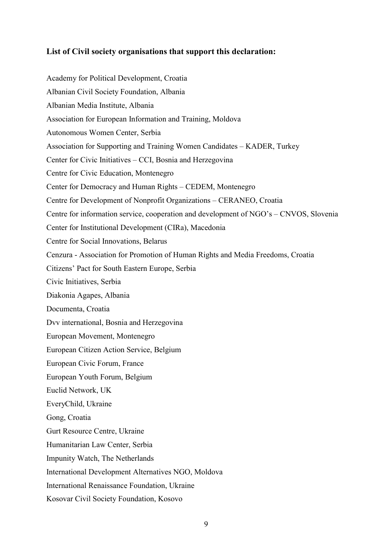## **List of Civil society organisations that support this declaration:**

Academy for Political Development, Croatia Albanian Civil Society Foundation, Albania Albanian Media Institute, Albania Association for European Information and Training, Moldova Autonomous Women Center, Serbia Association for Supporting and Training Women Candidates – KADER, Turkey Center for Civic Initiatives – CCI, Bosnia and Herzegovina Centre for Civic Education, Montenegro Center for Democracy and Human Rights – CEDEM, Montenegro Centre for Development of Nonprofit Organizations – CERANEO, Croatia Centre for information service, cooperation and development of NGO's – CNVOS, Slovenia Center for Institutional Development (CIRa), Macedonia Centre for Social Innovations, Belarus Cenzura - Association for Promotion of Human Rights and Media Freedoms, Croatia Citizens' Pact for South Eastern Europe, Serbia Civic Initiatives, Serbia Diakonia Agapes, Albania Documenta, Croatia Dvv international, Bosnia and Herzegovina European Movement, Montenegro European Citizen Action Service, Belgium European Civic Forum, France European Youth Forum, Belgium Euclid Network, UK EveryChild, Ukraine Gong, Croatia Gurt Resource Centre, Ukraine Humanitarian Law Center, Serbia Impunity Watch, The Netherlands International Development Alternatives NGO, Moldova International Renaissance Foundation, Ukraine Kosovar Civil Society Foundation, Kosovo